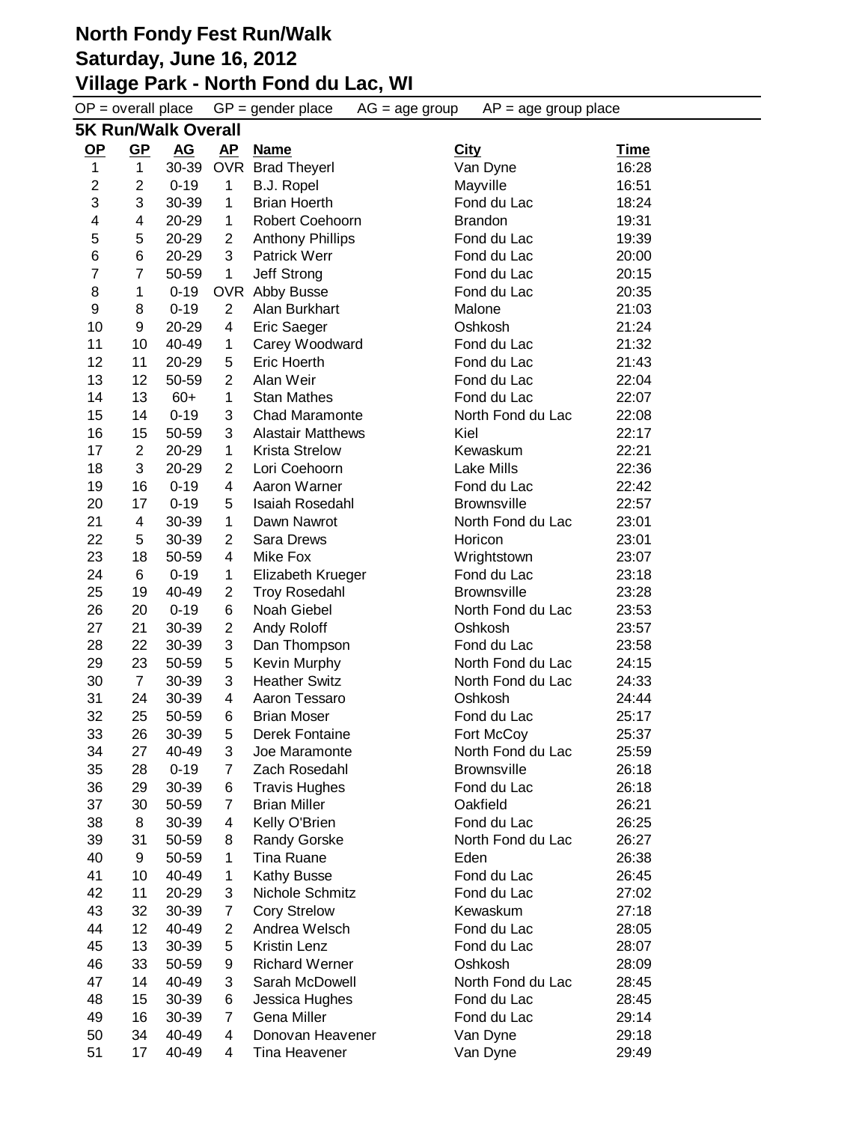$OP =$  overall place  $GP =$  gender place  $AG =$  age group  $AP =$  age group place **5K Run/Walk Overall OP GP AG AP Name City Time** 1 30-39 OVR Brad Theyerl Van Dyne 16:28 2 0-19 1 B.J. Ropel Mayville 16:51 3 30-39 1 Brian Hoerth Fond du Lac 18:24 4 20-29 1 Robert Coehoorn Brandon 19:31 5 20-29 2 Anthony Phillips Fond du Lac 19:39 6 20-29 3 Patrick Werr Fond du Lac 20:00 7 50-59 1 Jeff Strong Fond du Lac 20:15 1 0-19 OVR Abby Busse Fond du Lac 20:35 8 0-19 2 Alan Burkhart Malone 21:03 9 20-29 4 Eric Saeger Oshkosh 21:24 10 40-49 1 Carey Woodward Fond du Lac 21:32 11 20-29 5 Eric Hoerth Fond du Lac 21:43 12 50-59 2 Alan Weir Fond du Lac 22:04 14 13 60+ 1 Stan Mathes Fond du Lac 22:07 14 0-19 3 Chad Maramonte North Fond du Lac 22:08 15 50-59 3 Alastair Matthews Kiel 22:17 2 20-29 1 Krista Strelow Kewaskum 22:21 3 20-29 2 Lori Coehoorn Lake Mills 22:36 16 0-19 4 Aaron Warner Fond du Lac 22:42 17 0-19 5 Isaiah Rosedahl Brownsville 22:57 4 30-39 1 Dawn Nawrot North Fond du Lac 23:01 5 30-39 2 Sara Drews Horicon 23:01 18 50-59 4 Mike Fox Wrightstown 23:07 6 0-19 1 Elizabeth Krueger Fond du Lac 23:18 19 40-49 2 Troy Rosedahl Brownsville 23:28 20 0-19 6 Noah Giebel North Fond du Lac 23:53 21 30-39 2 Andy Roloff Oshkosh 23:57 22 30-39 3 Dan Thompson Fond du Lac 23:58 23 50-59 5 Kevin Murphy North Fond du Lac 24:15 7 30-39 3 Heather Switz North Fond du Lac 24:33 24 30-39 4 Aaron Tessaro Oshkosh 24:44 25 50-59 6 Brian Moser Fond du Lac 25:17 26 30-39 5 Derek Fontaine Fort McCoy 25:37 34 27 40-49 3 Joe Maramonte North Fond du Lac 25:59 28 0-19 7 Zach Rosedahl Brownsville 26:18 29 30-39 6 Travis Hughes Fond du Lac 26:18 30 50-59 7 Brian Miller Oakfield 26:21 8 30-39 4 Kelly O'Brien Fond du Lac 26:25 31 50-59 8 Randy Gorske North Fond du Lac 26:27 9 50-59 1 Tina Ruane Eden 26:38 10 40-49 1 Kathy Busse Fond du Lac 26:45 11 20-29 3 Nichole Schmitz Fond du Lac 27:02 32 30-39 7 Cory Strelow Kewaskum 27:18 12 40-49 2 Andrea Welsch Fond du Lac 28:05 13 30-39 5 Kristin Lenz Fond du Lac 28:07 33 50-59 9 Richard Werner Oshkosh 28:09 14 40-49 3 Sarah McDowell North Fond du Lac 28:45 15 30-39 6 Jessica Hughes Fond du Lac 28:45 16 30-39 7 Gena Miller Fond du Lac 29:14 34 40-49 4 Donovan Heavener Van Dyne 29:18 17 40-49 4 Tina Heavener Van Dyne 29:49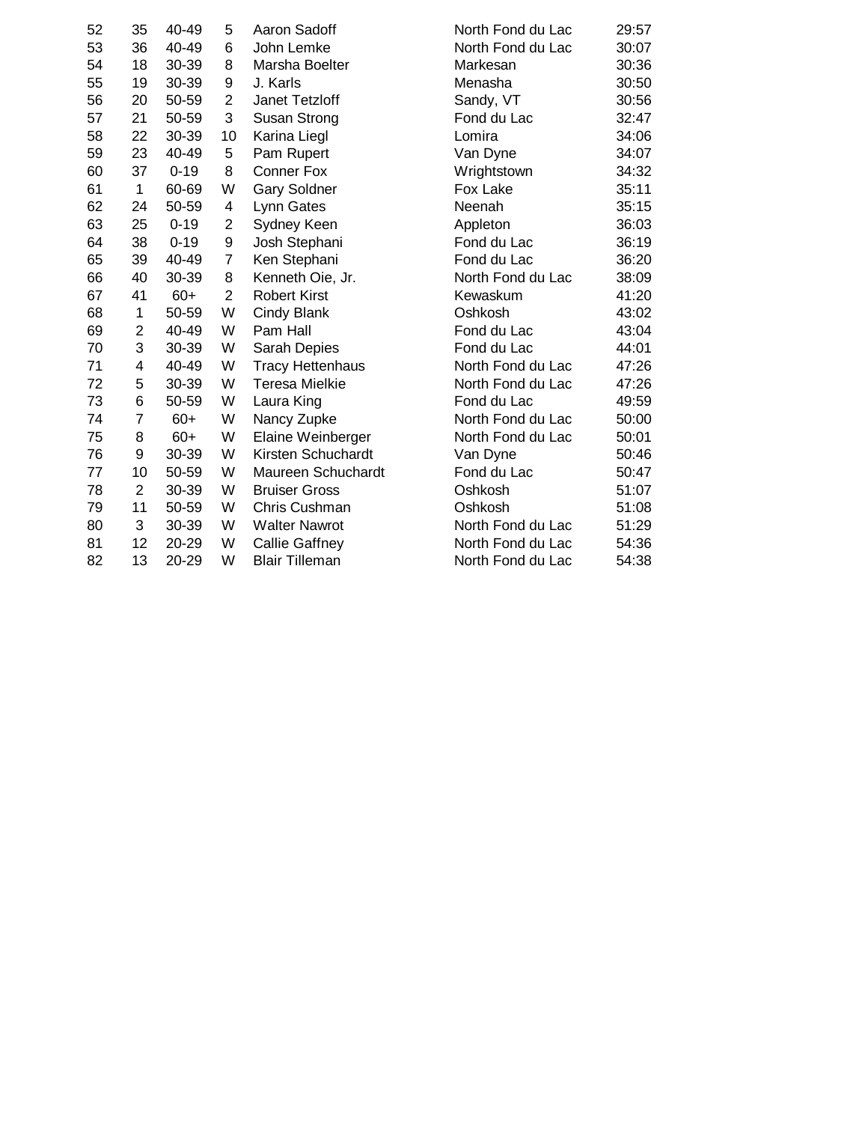| 52 | 35             | 40-49    | 5              | Aaron Sadoff            | North Fond du Lac | 29:57 |
|----|----------------|----------|----------------|-------------------------|-------------------|-------|
| 53 | 36             | 40-49    | 6              | John Lemke              | North Fond du Lac | 30:07 |
| 54 | 18             | 30-39    | 8              | Marsha Boelter          | Markesan          | 30:36 |
| 55 | 19             | 30-39    | 9              | J. Karls                | Menasha           | 30:50 |
| 56 | 20             | 50-59    | $\overline{2}$ | Janet Tetzloff          | Sandy, VT         | 30:56 |
| 57 | 21             | 50-59    | 3              | Susan Strong            | Fond du Lac       | 32:47 |
| 58 | 22             | 30-39    | 10             | Karina Liegl            | Lomira            | 34:06 |
| 59 | 23             | 40-49    | 5              | Pam Rupert              | Van Dyne          | 34:07 |
| 60 | 37             | $0 - 19$ | 8              | Conner Fox              | Wrightstown       | 34:32 |
| 61 | 1              | 60-69    | W              | <b>Gary Soldner</b>     | Fox Lake          | 35:11 |
| 62 | 24             | 50-59    | 4              | Lynn Gates              | Neenah            | 35:15 |
| 63 | 25             | $0 - 19$ | $\overline{2}$ | Sydney Keen             | Appleton          | 36:03 |
| 64 | 38             | $0 - 19$ | 9              | Josh Stephani           | Fond du Lac       | 36:19 |
| 65 | 39             | 40-49    | $\overline{7}$ | Ken Stephani            | Fond du Lac       | 36:20 |
| 66 | 40             | 30-39    | 8              | Kenneth Oie, Jr.        | North Fond du Lac | 38:09 |
| 67 | 41             | $60+$    | $\overline{2}$ | <b>Robert Kirst</b>     | Kewaskum          | 41:20 |
| 68 | 1              | 50-59    | W              | Cindy Blank             | Oshkosh           | 43:02 |
| 69 | $\overline{2}$ | 40-49    | W              | Pam Hall                | Fond du Lac       | 43:04 |
| 70 | 3              | 30-39    | W              | Sarah Depies            | Fond du Lac       | 44:01 |
| 71 | 4              | 40-49    | W              | <b>Tracy Hettenhaus</b> | North Fond du Lac | 47:26 |
| 72 | 5              | 30-39    | W              | <b>Teresa Mielkie</b>   | North Fond du Lac | 47:26 |
| 73 | 6              | 50-59    | W              | Laura King              | Fond du Lac       | 49:59 |
| 74 | $\overline{7}$ | $60+$    | W              | Nancy Zupke             | North Fond du Lac | 50:00 |
| 75 | 8              | $60+$    | W              | Elaine Weinberger       | North Fond du Lac | 50:01 |
| 76 | 9              | 30-39    | W              | Kirsten Schuchardt      | Van Dyne          | 50:46 |
| 77 | 10             | 50-59    | W              | Maureen Schuchardt      | Fond du Lac       | 50:47 |
| 78 | $\overline{2}$ | 30-39    | W              | <b>Bruiser Gross</b>    | Oshkosh           | 51:07 |
| 79 | 11             | 50-59    | W              | Chris Cushman           | Oshkosh           | 51:08 |
| 80 | 3              | 30-39    | W              | <b>Walter Nawrot</b>    | North Fond du Lac | 51:29 |
| 81 | 12             | 20-29    | W              | <b>Callie Gaffney</b>   | North Fond du Lac | 54:36 |
| 82 | 13             | 20-29    | W              | <b>Blair Tilleman</b>   | North Fond du Lac | 54:38 |
|    |                |          |                |                         |                   |       |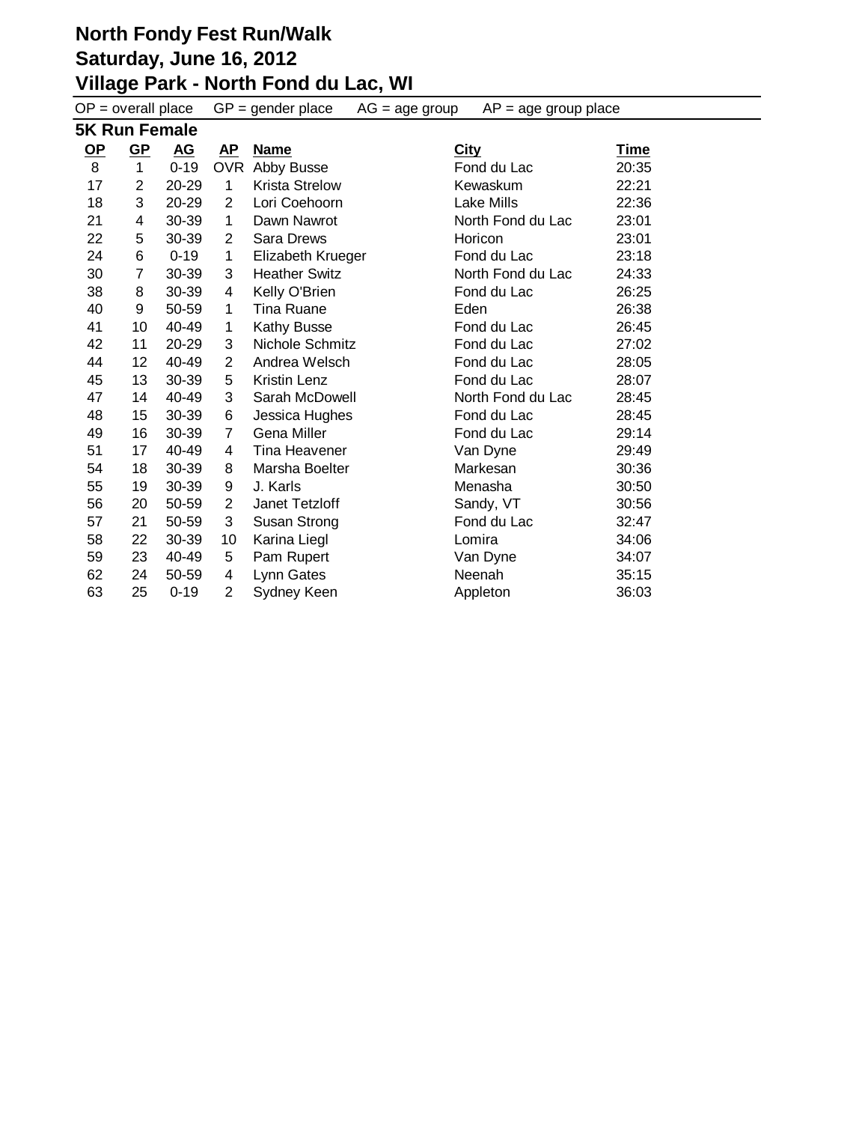| $OP = overall place$ |                |           | $GP = gender place$ | $AP = age$ group place<br>$AG = age$ group |             |                   |             |
|----------------------|----------------|-----------|---------------------|--------------------------------------------|-------------|-------------------|-------------|
|                      | 5K Run Female  |           |                     |                                            |             |                   |             |
| $OP$                 | $GP$           | <u>AG</u> | AP                  | <b>Name</b>                                | <b>City</b> |                   | <u>Time</u> |
| 8                    | $\mathbf{1}$   | $0 - 19$  |                     | OVR Abby Busse                             |             | Fond du Lac       | 20:35       |
| 17                   | $\overline{2}$ | 20-29     | 1                   | <b>Krista Strelow</b>                      |             | Kewaskum          | 22:21       |
| 18                   | 3              | 20-29     | 2                   | Lori Coehoorn                              |             | Lake Mills        | 22:36       |
| 21                   | 4              | 30-39     | 1                   | Dawn Nawrot                                |             | North Fond du Lac | 23:01       |
| 22                   | 5              | 30-39     | 2                   | <b>Sara Drews</b>                          |             | Horicon           | 23:01       |
| 24                   | 6              | $0 - 19$  | 1                   | Elizabeth Krueger                          |             | Fond du Lac       | 23:18       |
| 30                   | 7              | 30-39     | 3                   | <b>Heather Switz</b>                       |             | North Fond du Lac | 24:33       |
| 38                   | 8              | 30-39     | 4                   | Kelly O'Brien                              |             | Fond du Lac       | 26:25       |
| 40                   | 9              | 50-59     | 1                   | <b>Tina Ruane</b>                          |             | Eden              | 26:38       |
| 41                   | 10             | 40-49     | 1                   | Kathy Busse                                |             | Fond du Lac       | 26:45       |
| 42                   | 11             | 20-29     | 3                   | Nichole Schmitz                            |             | Fond du Lac       | 27:02       |
| 44                   | 12             | 40-49     | $\overline{2}$      | Andrea Welsch                              |             | Fond du Lac       | 28:05       |
| 45                   | 13             | 30-39     | 5                   | Kristin Lenz                               |             | Fond du Lac       | 28:07       |
| 47                   | 14             | 40-49     | 3                   | Sarah McDowell                             |             | North Fond du Lac | 28:45       |
| 48                   | 15             | 30-39     | 6                   | Jessica Hughes                             |             | Fond du Lac       | 28:45       |
| 49                   | 16             | 30-39     | 7                   | Gena Miller                                |             | Fond du Lac       | 29:14       |
| 51                   | 17             | 40-49     | 4                   | Tina Heavener                              |             | Van Dyne          | 29:49       |
| 54                   | 18             | 30-39     | 8                   | Marsha Boelter                             |             | Markesan          | 30:36       |
| 55                   | 19             | 30-39     | 9                   | J. Karls                                   |             | Menasha           | 30:50       |
| 56                   | 20             | 50-59     | $\overline{2}$      | Janet Tetzloff                             |             | Sandy, VT         | 30:56       |
| 57                   | 21             | 50-59     | 3                   | Susan Strong                               |             | Fond du Lac       | 32:47       |
| 58                   | 22             | 30-39     | 10                  | Karina Liegl                               |             | Lomira            | 34:06       |
| 59                   | 23             | 40-49     | 5                   | Pam Rupert                                 |             | Van Dyne          | 34:07       |
| 62                   | 24             | 50-59     | 4                   | Lynn Gates                                 |             | Neenah            | 35:15       |
| 63                   | 25             | $0 - 19$  | 2                   | Sydney Keen                                |             | Appleton          | 36:03       |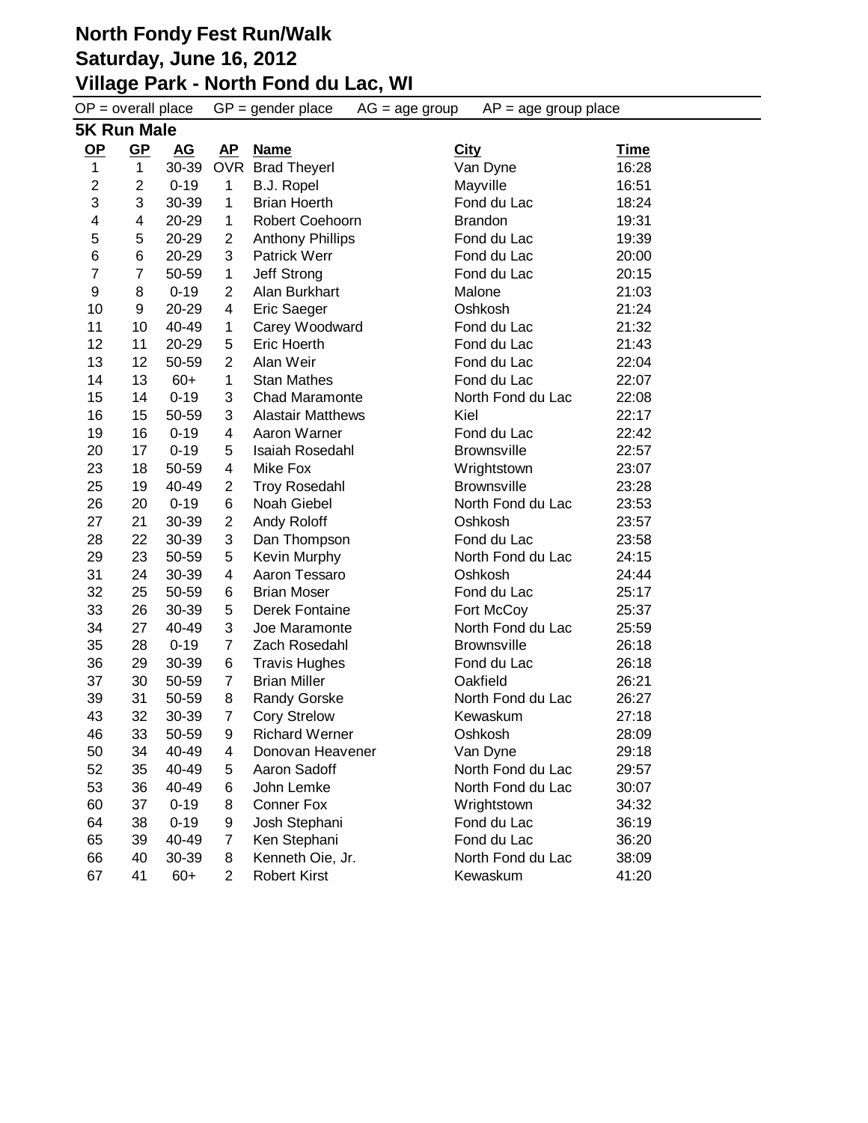# **North Fondy Fest Run/Walk Saturday, June 16, 2012 Village Park - North Fond du Lac, WI**<br>OB - <u>Olarall place CB - sonder place</u> AG - 200

| $OP = overall place$ |                    | $GP = gender place$ |                | $AG = age$ group<br>$AP = age$ group place |             |                    |             |
|----------------------|--------------------|---------------------|----------------|--------------------------------------------|-------------|--------------------|-------------|
|                      | <b>5K Run Male</b> |                     |                |                                            |             |                    |             |
| $OP$                 | $GP$               | <u>AG</u>           | <u>AP</u>      | <b>Name</b>                                | <b>City</b> |                    | <u>Time</u> |
| $\mathbf{1}$         | $\mathbf{1}$       | 30-39               |                | OVR Brad Theyerl                           |             | Van Dyne           | 16:28       |
| 2                    | $\overline{2}$     | $0 - 19$            | $\mathbf{1}$   | B.J. Ropel                                 |             | Mayville           | 16:51       |
| 3                    | 3                  | 30-39               | 1              | <b>Brian Hoerth</b>                        |             | Fond du Lac        | 18:24       |
| 4                    | 4                  | 20-29               | 1              | Robert Coehoorn                            |             | <b>Brandon</b>     | 19:31       |
| 5                    | 5                  | 20-29               | $\overline{2}$ | <b>Anthony Phillips</b>                    |             | Fond du Lac        | 19:39       |
| 6                    | 6                  | 20-29               | 3              | <b>Patrick Werr</b>                        |             | Fond du Lac        | 20:00       |
| $\overline{7}$       | 7                  | 50-59               | $\mathbf 1$    | Jeff Strong                                |             | Fond du Lac        | 20:15       |
| 9                    | 8                  | $0 - 19$            | $\overline{2}$ | Alan Burkhart                              |             | Malone             | 21:03       |
| 10                   | 9                  | 20-29               | 4              | <b>Eric Saeger</b>                         |             | Oshkosh            | 21:24       |
| 11                   | 10                 | 40-49               | 1              | Carey Woodward                             |             | Fond du Lac        | 21:32       |
| 12                   | 11                 | 20-29               | 5              | Eric Hoerth                                |             | Fond du Lac        | 21:43       |
| 13                   | 12                 | 50-59               | $\overline{2}$ | Alan Weir                                  |             | Fond du Lac        | 22:04       |
| 14                   | 13                 | $60+$               | $\mathbf{1}$   | <b>Stan Mathes</b>                         |             | Fond du Lac        | 22:07       |
| 15                   | 14                 | $0 - 19$            | 3              | <b>Chad Maramonte</b>                      |             | North Fond du Lac  | 22:08       |
| 16                   | 15                 | 50-59               | 3              | <b>Alastair Matthews</b>                   | Kiel        |                    | 22:17       |
| 19                   | 16                 | $0 - 19$            | 4              | Aaron Warner                               |             | Fond du Lac        | 22:42       |
| 20                   | 17                 | $0 - 19$            | 5              | <b>Isaiah Rosedahl</b>                     |             | <b>Brownsville</b> | 22:57       |
| 23                   | 18                 | 50-59               | 4              | Mike Fox                                   |             | Wrightstown        | 23:07       |
| 25                   | 19                 | 40-49               | $\overline{2}$ | <b>Troy Rosedahl</b>                       |             | <b>Brownsville</b> | 23:28       |
| 26                   | 20                 | $0 - 19$            | 6              | Noah Giebel                                |             | North Fond du Lac  | 23:53       |
| 27                   | 21                 | 30-39               | $\overline{2}$ | Andy Roloff                                |             | Oshkosh            | 23:57       |
| 28                   | 22                 | 30-39               | 3              | Dan Thompson                               |             | Fond du Lac        | 23:58       |
| 29                   | 23                 | 50-59               | 5              | Kevin Murphy                               |             | North Fond du Lac  | 24:15       |
| 31                   | 24                 | 30-39               | 4              | Aaron Tessaro                              |             | Oshkosh            | 24:44       |
| 32                   | 25                 | 50-59               | 6              | <b>Brian Moser</b>                         |             | Fond du Lac        | 25:17       |
| 33                   | 26                 | 30-39               | 5              | Derek Fontaine                             |             | Fort McCoy         | 25:37       |
| 34                   | 27                 | 40-49               | 3              | Joe Maramonte                              |             | North Fond du Lac  | 25:59       |
| 35                   | 28                 | $0 - 19$            | 7              | Zach Rosedahl                              |             | <b>Brownsville</b> | 26:18       |
| 36                   | 29                 | 30-39               | 6              | <b>Travis Hughes</b>                       |             | Fond du Lac        | 26:18       |
| 37                   | 30                 | 50-59               | 7              | <b>Brian Miller</b>                        |             | Oakfield           | 26:21       |
| 39                   | 31                 | 50-59               | 8              | Randy Gorske                               |             | North Fond du Lac  | 26:27       |
| 43                   | 32                 | 30-39               | 7              | <b>Cory Strelow</b>                        |             | Kewaskum           | 27:18       |
| 46                   | 33                 | 50-59               | 9              | <b>Richard Werner</b>                      |             | Oshkosh            | 28:09       |
| 50                   | 34                 | 40-49               | 4              | Donovan Heavener                           |             | Van Dyne           | 29:18       |
| 52                   | 35                 | 40-49               | 5              | Aaron Sadoff                               |             | North Fond du Lac  | 29:57       |
| 53                   | 36                 | 40-49               | 6              | John Lemke                                 |             | North Fond du Lac  | 30:07       |
| 60                   | 37                 | $0 - 19$            | 8              | Conner Fox                                 |             | Wrightstown        | 34:32       |
| 64                   | 38                 | $0 - 19$            | 9              | Josh Stephani                              |             | Fond du Lac        | 36:19       |
| 65                   | 39                 | 40-49               | 7              | Ken Stephani                               |             | Fond du Lac        | 36:20       |
| 66                   | 40                 | 30-39               | 8              | Kenneth Oie, Jr.                           |             | North Fond du Lac  | 38:09       |
| 67                   | 41                 | $60+$               | $\overline{2}$ | <b>Robert Kirst</b>                        |             | Kewaskum           | 41:20       |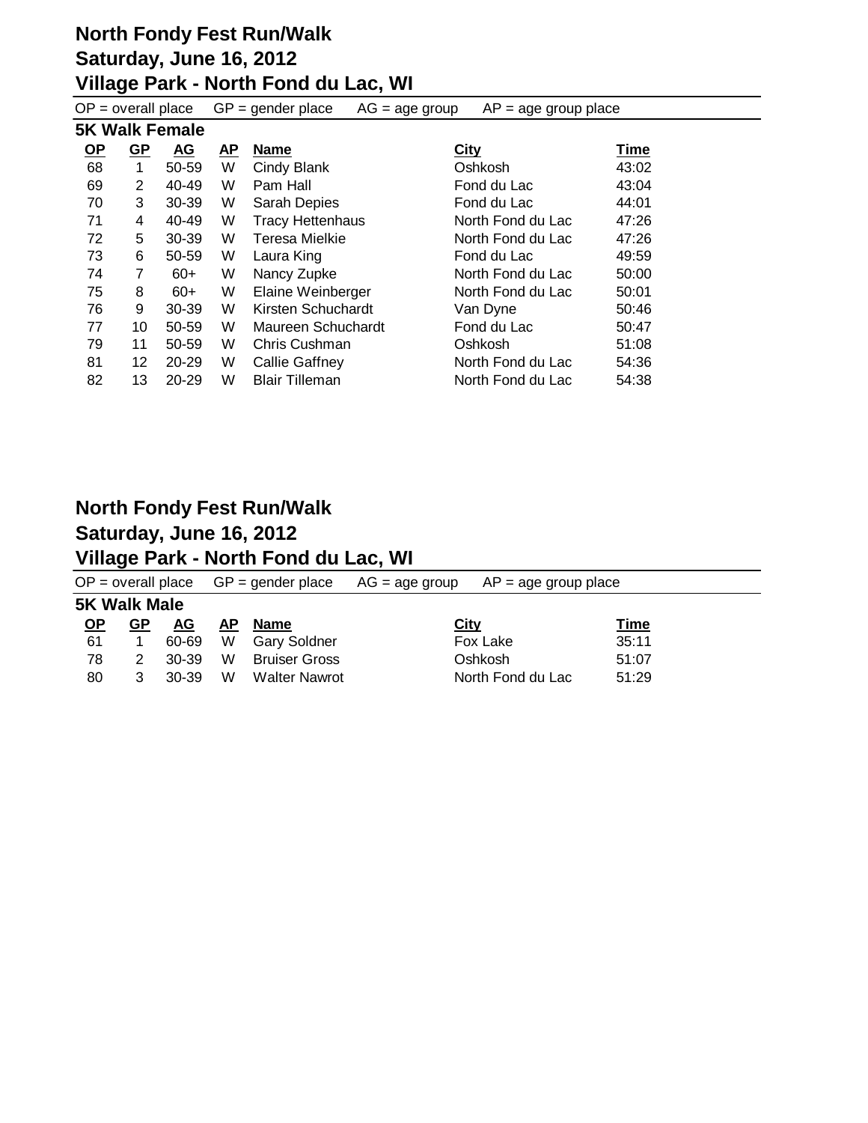| $OP = overall place$ |                |                       | $GP = gender place$ | $AP = age$ group place<br>$AG = age$ group |                   |       |
|----------------------|----------------|-----------------------|---------------------|--------------------------------------------|-------------------|-------|
|                      |                | <b>5K Walk Female</b> |                     |                                            |                   |       |
| <u>OP</u>            | $GP$           | <b>AG</b>             | <b>AP</b>           | <b>Name</b>                                | <b>City</b>       | Time  |
| 68                   | 1              | 50-59                 | W                   | Cindy Blank                                | Oshkosh           | 43:02 |
| 69                   | $\overline{2}$ | 40-49                 | W                   | Pam Hall                                   | Fond du Lac       | 43:04 |
| 70                   | 3              | 30-39                 | W                   | Sarah Depies                               | Fond du Lac       | 44:01 |
| 71                   | 4              | 40-49                 | W                   | <b>Tracy Hettenhaus</b>                    | North Fond du Lac | 47:26 |
| 72                   | 5              | $30-39$               | W                   | <b>Teresa Mielkie</b>                      | North Fond du Lac | 47:26 |
| 73                   | 6              | 50-59                 | W                   | Laura King                                 | Fond du Lac       | 49:59 |
| 74                   | 7              | $60+$                 | W                   | Nancy Zupke                                | North Fond du Lac | 50:00 |
| 75                   | 8              | $60+$                 | W                   | Elaine Weinberger                          | North Fond du Lac | 50:01 |
| 76                   | 9              | $30-39$               | W                   | Kirsten Schuchardt                         | Van Dyne          | 50:46 |
| 77                   | 10             | 50-59                 | W                   | Maureen Schuchardt                         | Fond du Lac       | 50:47 |
| 79                   | 11             | 50-59                 | W                   | Chris Cushman                              | Oshkosh           | 51:08 |
| 81                   | 12             | $20 - 29$             | W                   | Callie Gaffney                             | North Fond du Lac | 54:36 |
| 82                   | 13             | 20-29                 | W                   | <b>Blair Tilleman</b>                      | North Fond du Lac | 54:38 |

#### **North Fondy Fest Run/Walk Saturday, June 16, 2012**

### **Village Park - North Fond du Lac, WI**

|                     |    |           |           | $OP = overall place$ $GP = gender place$ | $AG = age$ group | $AP = age$ group place |             |  |
|---------------------|----|-----------|-----------|------------------------------------------|------------------|------------------------|-------------|--|
| <b>5K Walk Male</b> |    |           |           |                                          |                  |                        |             |  |
| <u>OP</u>           | GP | <u>AG</u> | <u>AP</u> | <b>Name</b>                              | <b>City</b>      |                        | <b>Time</b> |  |
| 61                  |    | 60-69     | W         | Gary Soldner                             |                  | Fox Lake               | 35:11       |  |
| 78                  |    | 30-39     | W         | Bruiser Gross                            |                  | Oshkosh                | 51:07       |  |
| 80                  | 3  | 30-39     | W         | <b>Walter Nawrot</b>                     |                  | North Fond du Lac      | 51:29       |  |
|                     |    |           |           |                                          |                  |                        |             |  |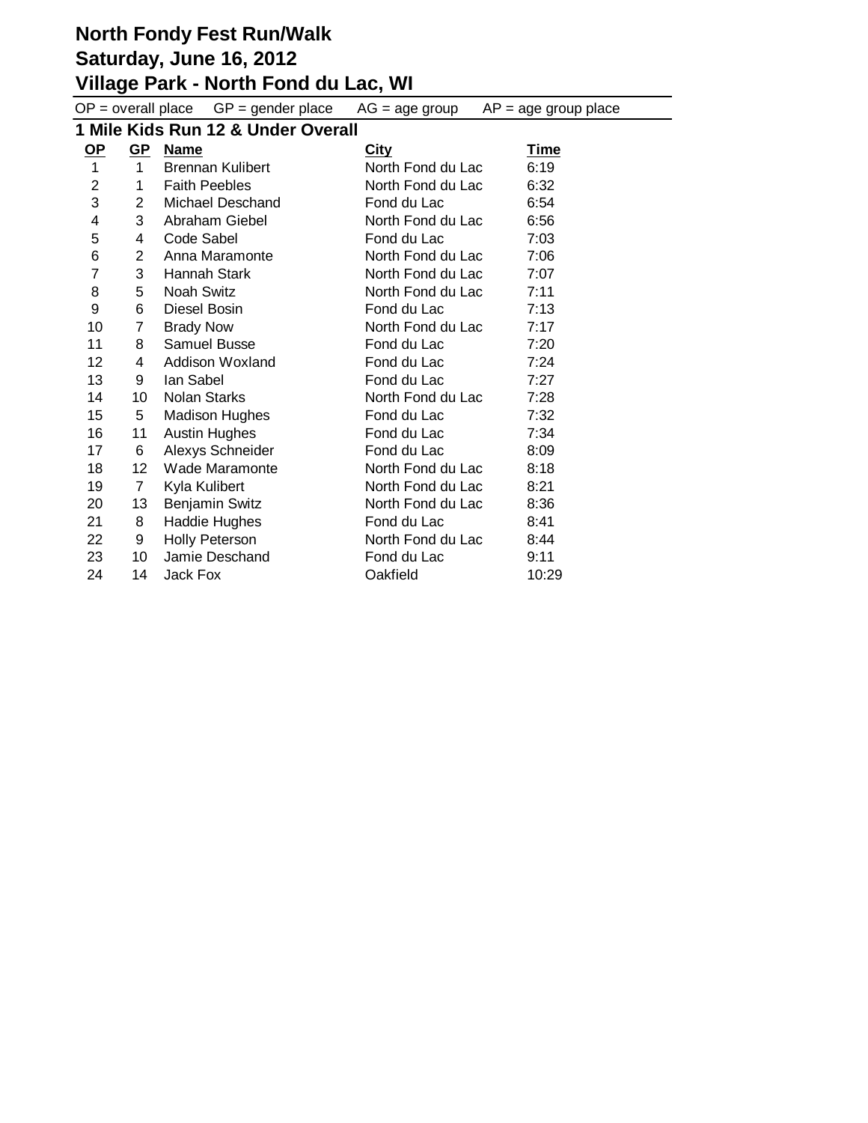# **North Fondy Fest Run/Walk**

## **Saturday, June 16, 2012**

#### **Village Park - North Fond du Lac, WI**

 $OP =$  overall place  $GP =$  gender place  $AG =$  age group  $AP =$  age group place

**1 Mile Kids Run 12 & Under Overall**

| $OP$           | $GP$              | <b>Name</b>             | <b>City</b>       | <b>Time</b> |
|----------------|-------------------|-------------------------|-------------------|-------------|
| 1              | $\mathbf 1$       | <b>Brennan Kulibert</b> | North Fond du Lac | 6:19        |
| $\overline{2}$ | 1                 | <b>Faith Peebles</b>    | North Fond du Lac | 6:32        |
| 3              | $\overline{2}$    | Michael Deschand        | Fond du Lac       | 6:54        |
| 4              | 3                 | Abraham Giebel          | North Fond du Lac | 6:56        |
| 5              | 4                 | Code Sabel              | Fond du Lac       | 7:03        |
| 6              | $\overline{2}$    | Anna Maramonte          | North Fond du Lac | 7:06        |
| $\overline{7}$ | 3                 | Hannah Stark            | North Fond du Lac | 7:07        |
| 8              | 5                 | <b>Noah Switz</b>       | North Fond du Lac | 7:11        |
| 9              | 6                 | Diesel Bosin            | Fond du Lac       | 7:13        |
| 10             | 7                 | <b>Brady Now</b>        | North Fond du Lac | 7:17        |
| 11             | 8                 | Samuel Busse            | Fond du Lac       | 7:20        |
| 12             | 4                 | Addison Woxland         | Fond du Lac       | 7:24        |
| 13             | 9                 | lan Sabel               | Fond du Lac       | 7:27        |
| 14             | 10                | <b>Nolan Starks</b>     | North Fond du Lac | 7:28        |
| 15             | 5                 | <b>Madison Hughes</b>   | Fond du Lac       | 7:32        |
| 16             | 11                | <b>Austin Hughes</b>    | Fond du Lac       | 7:34        |
| 17             | 6                 | Alexys Schneider        | Fond du Lac       | 8:09        |
| 18             | $12 \overline{ }$ | Wade Maramonte          | North Fond du Lac | 8:18        |
| 19             | $\overline{7}$    | Kyla Kulibert           | North Fond du Lac | 8:21        |
| 20             | 13                | <b>Benjamin Switz</b>   | North Fond du Lac | 8:36        |
| 21             | 8                 | Haddie Hughes           | Fond du Lac       | 8:41        |
| 22             | 9                 | <b>Holly Peterson</b>   | North Fond du Lac | 8:44        |
| 23             | 10                | Jamie Deschand          | Fond du Lac       | 9:11        |
| 24             | 14                | Jack Fox                | Oakfield          | 10:29       |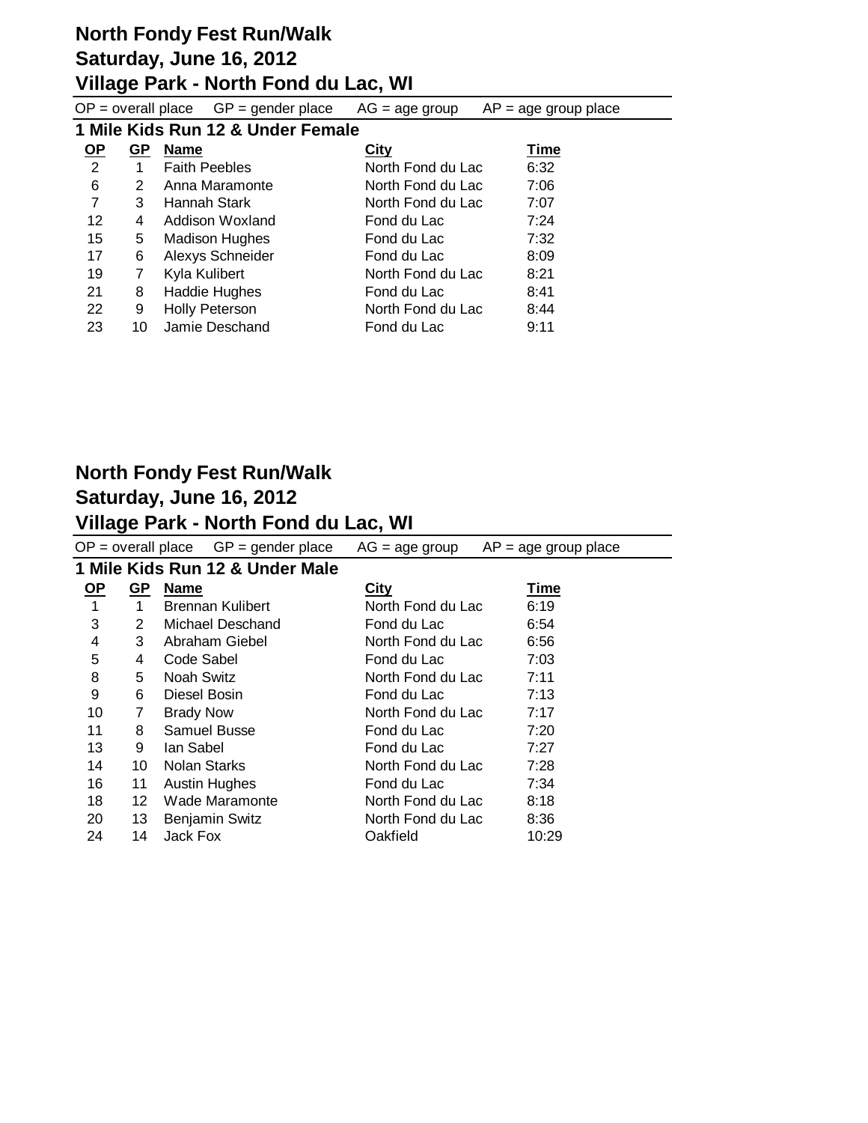#### **North Fondy Fest Run/Walk Saturday, June 16, 2012**

#### **Village Park - North Fond du Lac, WI**

 $OP =$  overall place  $GP =$  gender place  $AG =$  age group  $AP =$  age group place

#### **1 Mile Kids Run 12 & Under Female**

| $OP$ | GP | <b>Name</b>           | City              | Time |
|------|----|-----------------------|-------------------|------|
| 2    | 1  | <b>Faith Peebles</b>  | North Fond du Lac | 6:32 |
| 6    | 2  | Anna Maramonte        | North Fond du Lac | 7:06 |
| 7    | 3  | Hannah Stark          | North Fond du Lac | 7:07 |
| 12   | 4  | Addison Woxland       | Fond du Lac       | 7:24 |
| 15   | 5  | <b>Madison Hughes</b> | Fond du Lac       | 7:32 |
| 17   | 6  | Alexys Schneider      | Fond du Lac       | 8:09 |
| 19   | 7  | Kyla Kulibert         | North Fond du Lac | 8:21 |
| 21   | 8  | <b>Haddie Hughes</b>  | Fond du Lac       | 8:41 |
| 22   | 9  | <b>Holly Peterson</b> | North Fond du Lac | 8:44 |
| 23   | 10 | Jamie Deschand        | Fond du Lac       | 9:11 |

#### **North Fondy Fest Run/Walk Saturday, June 16, 2012 Village Park - North Fond du Lac, WI**

#### $OP =$  overall place  $GP =$  gender place  $AG =$  age group  $AP =$  age group place **1 Mile Kids Run 12 & Under Male OP GP Name City Time** 1 1 Brennan Kulibert North Fond du Lac 6:19 3 2 Michael Deschand Fond du Lac 6:54 4 3 Abraham Giebel North Fond du Lac 6:56 5 4 Code Sabel Fond du Lac 7:03 8 5 Noah Switz North Fond du Lac 7:11 9 6 Diesel Bosin Fond du Lac 7:13 10 7 Brady Now North Fond du Lac 7:17 11 8 Samuel Busse Fond du Lac 7:20 13 9 Ian Sabel **Fond du Lac** 7:27 14 10 Nolan Starks North Fond du Lac 7:28 16 11 Austin Hughes Fond du Lac 7:34 18 12 Wade Maramonte **North Fond du Lac** 8:18 20 13 Benjamin Switz North Fond du Lac 8:36 24 14 Jack Fox Oakfield 10:29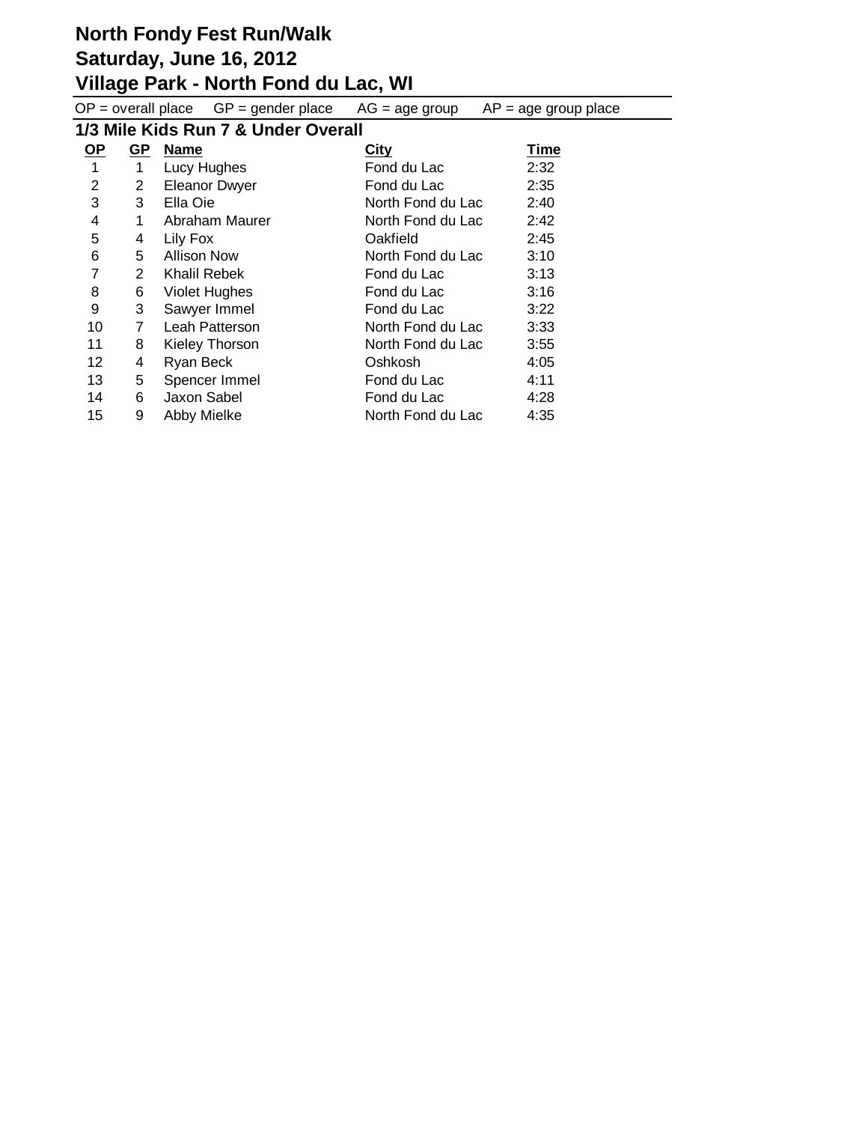# **North Fondy Fest Run/Walk**

# **Saturday, June 16, 2012**

#### **Village Park - North Fond du Lac, WI**

 $OP =$  overall place  $GP =$  gender place  $AG =$  age group  $AP =$  age group place

# **1/3 Mile Kids Run 7 & Under Overall**

| $\overline{OP}$ | GP             | <b>Name</b>           | <b>City</b>       | <b>Time</b> |
|-----------------|----------------|-----------------------|-------------------|-------------|
| 1               | 1              | Lucy Hughes           | Fond du Lac       | 2:32        |
| 2               | $\overline{2}$ | <b>Eleanor Dwyer</b>  | Fond du Lac       | 2:35        |
| 3               | 3              | Ella Oie              | North Fond du Lac | 2:40        |
| 4               | 1              | Abraham Maurer        | North Fond du Lac | 2:42        |
| 5               | 4              | Lily Fox              | Oakfield          | 2:45        |
| 6               | 5              | <b>Allison Now</b>    | North Fond du Lac | 3:10        |
| 7               | $\overline{2}$ | <b>Khalil Rebek</b>   | Fond du Lac       | 3:13        |
| 8               | 6              | <b>Violet Hughes</b>  | Fond du Lac       | 3:16        |
| 9               | 3              | Sawyer Immel          | Fond du Lac       | 3:22        |
| 10              | $\overline{7}$ | Leah Patterson        | North Fond du Lac | 3:33        |
| 11              | 8              | <b>Kieley Thorson</b> | North Fond du Lac | 3:55        |
| 12              | 4              | Ryan Beck             | Oshkosh           | 4:05        |
| 13              | 5              | Spencer Immel         | Fond du Lac       | 4:11        |
| 14              | 6              | Jaxon Sabel           | Fond du Lac       | 4:28        |
| 15              | 9              | Abby Mielke           | North Fond du Lac | 4:35        |